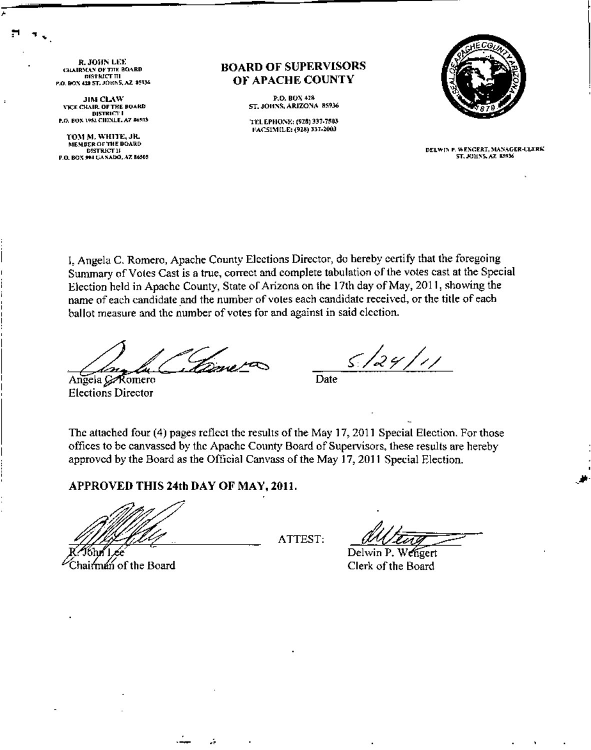R. JOHN LEE<br>CHAIRMAN OF THE BOARD<br>| district the<br>p.o. box 4:6 57, John 5, az 45934

JIM CLAW **VICE CHAIR OF THE BOARD** DISTRICT I<br>P.O. BOX 1952 CHINLE, A7 \$6503

TOM M, WHITE, JR. MEMBER OF THE BOARD<br>DISTRICT II P.O. BOX 994 GANADO, AZ 86505

### **BOARD OF SUPERVISORS OJ' APACHE COUNTY**

P.O. BOX 428 ST. JOHNS, ARIZONA, 85936

'n". EPHONE: 1928) 337-7503 FACSIMILE: (928) 337-2003



DELWIN P. WENGERT, MANAGER-CLERK ST. HIHNS, AZ 35936

I. Angela C. Romero, Apache County Elections Director, do hereby certify that the foregoing Summary of Votes Cast is a true, correct and complete tabulation of the votes cast at the Special Election held in Apache County, State of Arizona on the 17th day of May, 2011, showing the name of each candidate and the number of voles each candidate received, or the title of each ballot measure and the number of votes for and against in said election.

Angela *G* Romero Elections Director

5/24/11

Date

The attached four (4) pages reflect the results of the May 17, 2011 Special Election. For those offices to be canvassed by the Apache County Board of Supervisors, these results are hereby approved by the Board as the Official Canvass of the May 17, 2011 Special Election.

## **APPROVED THIS 24th DAY OF MAY, 2011.**

airman of the Board

ATTEST:

*dubtury* 

Delwin P. Wehrert. Clerk of the Board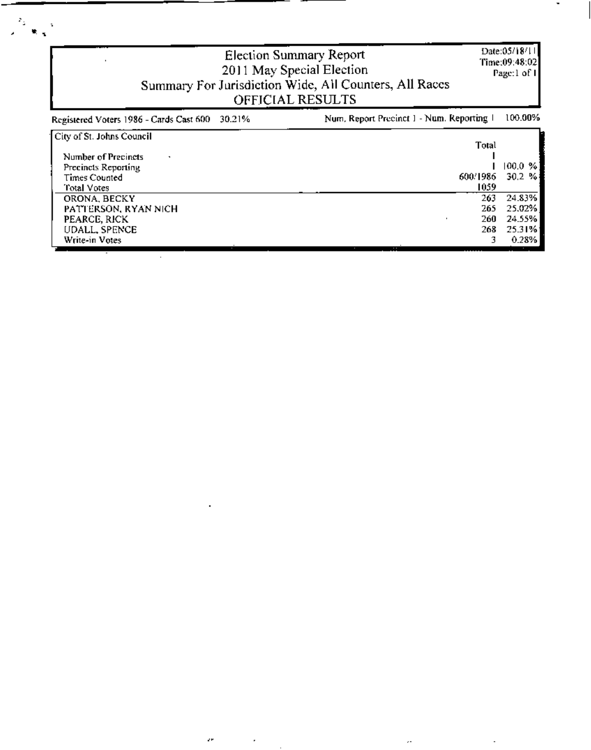| Date:05/18/11<br>Election Summary Report<br>Time:09:48:02<br>2011 May Special Election<br>Page:1 of I<br>Summary For Jurisdiction Wide, All Counters, All Races<br>OFFICIAL RESULTS |                                           |                                               |  |  |
|-------------------------------------------------------------------------------------------------------------------------------------------------------------------------------------|-------------------------------------------|-----------------------------------------------|--|--|
| 30.21%<br>Registered Voters 1986 - Cards Cast 600                                                                                                                                   | Num, Report Precinct 1 - Num. Reporting 1 | 100.00%                                       |  |  |
| City of St. Johns Council<br>Number of Precincts<br>Precincts Reporting<br><b>Times Counted</b><br>Total Votes                                                                      | Total<br>600/1986<br>1059                 | 100.0%<br>30.2%                               |  |  |
| ORONA, BECKY<br>PATTERSON, RYAN NICH<br>PEARCE, RICK<br>UDALL, SPENCE<br>Write-in Votes                                                                                             | 263<br>265<br>260<br>268<br>3.            | 24.83%<br>25.02%<br>24.55%<br>25.31%<br>0.28% |  |  |

 $\cdot$ 

ä,

 $\epsilon^{\mu}$ 

 $\mathcal{L}^{\text{max}}_{\text{max}}$  , where  $\mathcal{L}^{\text{max}}_{\text{max}}$ 

 $\overline{\phantom{a}}$ 

 $\bar{\phi}$ 

 $\Box$ 

 $\frac{2\pi}{\sqrt{2}}\frac{1}{\log\frac{1}{\sqrt{2}}}$ 

 $\blacksquare$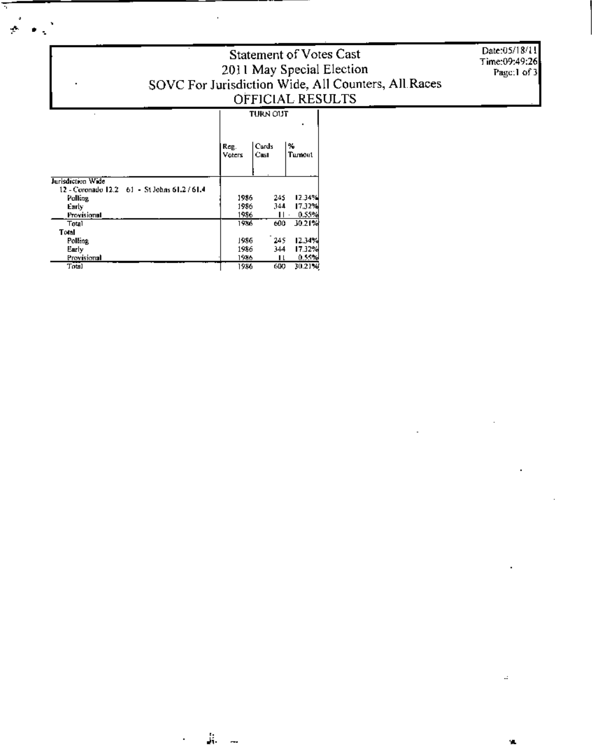# Statement of Votes Cast 2011 May Special Election<br>SOVC For Jurisdiction Wide, All Counters, All Races OFFICIAL RESULTS

Date:05/18/11 Time:09:49:26 Page:1 of 3

 $\cdot$ 

٩Ĺ,

| <b>TURN OUT</b>                                                                                                |  |               |
|----------------------------------------------------------------------------------------------------------------|--|---------------|
|                                                                                                                |  |               |
| $\begin{array}{ l l }\n\hline\n\text{Reg.} & \text{Cards} \\ \text{Veters} & \text{Cas} & \hline\n\end{array}$ |  | l‰<br>Turnout |
|                                                                                                                |  |               |

| Jurisdiction Wide                              |      |     |        |
|------------------------------------------------|------|-----|--------|
| 12 - Coronado 12.2 - 61 - St Johns 61.2 / 61.4 |      |     |        |
| Polling                                        | 1986 | 245 | 12.34% |
| Early                                          | 1986 | 344 | 17.32% |
| Provisional                                    | 1986 |     | 0.55%  |
| Total                                          | 1986 | 600 | 10.21% |
| Total                                          |      |     |        |
| Polling                                        | 1986 | 245 | 12.34% |
| Early                                          | 1986 | 344 | 17.32% |
| Provisional                                    | 1986 | 1 l | 0.55%  |
| Total                                          | 1986 | 600 | 30.21% |
|                                                |      |     |        |

Ξ,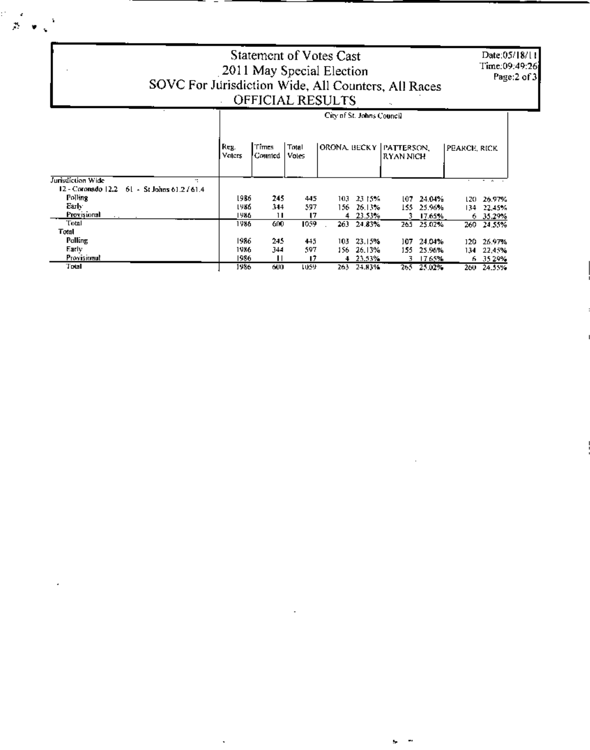Date:05/18/11 Time:09:49:26 Page:2 of 3

÷. ъ,

# Statement of Votes Cast 2011 May Special Election SOVC For Jurisdiction Wide, All Counters, All Races OFFICIAL RESULTS

 $\beta \rightarrow \zeta^2$ 

### City of St. Johns Council ORONA BECKY PATTERSON, Reg. Times Total PEARCE, RICK Voices Counted Votes RYAN NICH Jurisdiction Wide 12 - Coronado 12.2 - 61 - St Johns 61.2 / 61.4 Polling 1986 245 445 103 23 15% 107 24:04% 120 26.97% Early<sup>1</sup> 1986 344 597 155 25.96% 156 26.13% 134 22,45% Provisional 1986  $\mathbf{H}$  $\overline{17}$ 23.53%  $6.35.29%$ 4  $17.65%$ 3. Total 1986 1059  $600$ 263 24.83% 265 25.02% 260 24.55%  $\ddot{\phantom{a}}$ Total Pulling 1986 245 103 23.15% 445 107 24:04% 120 26.97% Early 1986 344 597 156 26.13% 155 25.96% 134 22,45% Provisional 1986  $17$ 23.53%  $\mathbf{H}$  $\overline{3}$ 17.65% 35.29%  $\blacktriangleleft$ 6 Total 1986  $600$ 1059 263 24.83% 265 25.02% 260 24.55%

 $\ddot{\phantom{a}}$